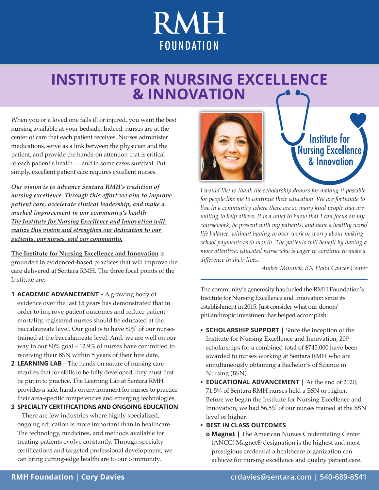# **RMH FOUNDATION**

## **INSTITUTE FOR NURSING EXCELLENCE & INNOVATION**

When you or a loved one falls ill or injured, you want the best nursing available at your bedside. Indeed, nurses are at the center of care that each patient receives. Nurses administer medications, serve as a link between the physician and the patient, and provide the hands-on attention that is critical to each patient's health … and in some cases survival. Put simply, excellent patient care requires excellent nurses.

*Our vision is to advance Sentara RMH's tradition of nursing excellence. Through this effort we aim to improve patient care, accelerate clinical leadership, and make a marked improvement in our community's health. The Institute for Nursing Excellence and Innovation will realize this vision and strengthen our dedication to our patients, our nurses, and our community.*

**The Institute for Nursing Excellence and Innovation** is grounded in evidenced-based practices that will improve the care delivered at Sentara RMH. The three focal points of the Institute are:

- **1 ACADEMIC ADVANCEMENT**  A growing body of evidence over the last 15 years has demonstrated that in order to improve patient outcomes and reduce patient mortality, registered nurses should be educated at the baccalaureate level. Our goal is to have 80% of our nurses trained at the baccalaureate level. And, we are well on our way to our 80% goal – 12.9% of nurses have committed to receiving their BSN within 5 years of their hire date.
- **2 LEARNING LAB** The hands-on nature of nursing care requires that for skills to be fully developed, they must first be put in to practice. The Learning Lab at Sentara RMH provides a safe, hands-on environment for nurses to practice their area-specific competencies and emerging technologies.
- **3 SPECIALTY CERTIFICATIONS AND ONGOING EDUCATION** – There are few industries where highly specialized, ongoing education is more important than in healthcare. The technology, medicines, and methods available for treating patients evolve constantly. Through specialty certifications and targeted professional development, we can bring cutting-edge healthcare to our community.





*I would like to thank the scholarship donors for making it possible for people like me to continue their education. We are fortunate to live in a community where there are so many kind people that are willing to help others. It is a relief to know that I can focus on my coursework, be present with my patients, and have a healthy work/ life balance, without having to over-work or worry about making school payments each month. The patients will benefit by having a more attentive, educated nurse who is eager to continue to make a difference in their lives.*

*Amber Minnick, RN Hahn Cancer Center*

The community's generosity has fueled the RMH Foundation's Institute for Nursing Excellence and Innovation since its establishment in 2015. Just consider what our donors' philanthropic investment has helped accomplish:

- **• SCHOLARSHIP SUPPORT |** Since the inception of the Institute for Nursing Excellence and Innovation, 209 scholarships for a combined total of \$745,000 have been awarded to nurses working at Sentara RMH who are simultaneously obtaining a Bachelor's of Science in Nursing (BSN).
- **• EDUCATIONAL ADVANCEMENT |** At the end of 2020, 71.5% of Sentara RMH nurses held a BSN or higher. Before we began the Institute for Nursing Excellence and Innovation, we had 56.5% of our nurses trained at the BSN level or higher.
- **• BEST IN CLASS OUTCOMES**
- **o Magnet |** The American Nurses Credentialing Center (ANCC) Magnet® designation is the highest and most prestigious credential a healthcare organization can achieve for nursing excellence and quality patient care.